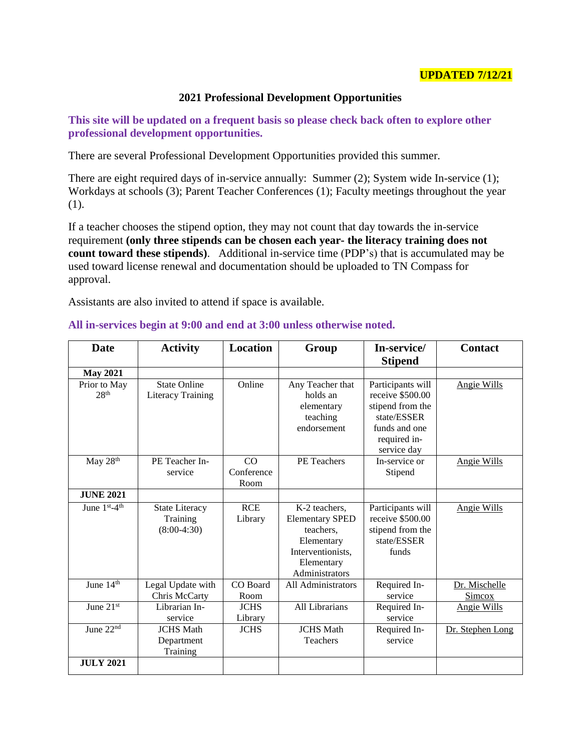## **UPDATED 7/12/21**

## **2021 Professional Development Opportunities**

**This site will be updated on a frequent basis so please check back often to explore other professional development opportunities.** 

There are several Professional Development Opportunities provided this summer.

There are eight required days of in-service annually: Summer (2); System wide In-service (1); Workdays at schools (3); Parent Teacher Conferences (1); Faculty meetings throughout the year (1).

If a teacher chooses the stipend option, they may not count that day towards the in-service requirement **(only three stipends can be chosen each year- the literacy training does not count toward these stipends**). Additional in-service time (PDP's) that is accumulated may be used toward license renewal and documentation should be uploaded to TN Compass for approval.

Assistants are also invited to attend if space is available.

| <b>Date</b>                      | <b>Activity</b>                                    | <b>Location</b>          | Group                                                                                                                   | In-service/<br><b>Stipend</b>                                                                                             | <b>Contact</b>          |
|----------------------------------|----------------------------------------------------|--------------------------|-------------------------------------------------------------------------------------------------------------------------|---------------------------------------------------------------------------------------------------------------------------|-------------------------|
| <b>May 2021</b>                  |                                                    |                          |                                                                                                                         |                                                                                                                           |                         |
| Prior to May<br>28 <sup>th</sup> | <b>State Online</b><br>Literacy Training           | Online                   | Any Teacher that<br>holds an<br>elementary<br>teaching<br>endorsement                                                   | Participants will<br>receive $$500.00$<br>stipend from the<br>state/ESSER<br>funds and one<br>required in-<br>service day | Angie Wills             |
| May 28th                         | PE Teacher In-<br>service                          | CO<br>Conference<br>Room | PE Teachers                                                                                                             | In-service or<br>Stipend                                                                                                  | Angie Wills             |
| <b>JUNE 2021</b>                 |                                                    |                          |                                                                                                                         |                                                                                                                           |                         |
| June 1st-4th                     | <b>State Literacy</b><br>Training<br>$(8:00-4:30)$ | <b>RCE</b><br>Library    | K-2 teachers,<br><b>Elementary SPED</b><br>teachers.<br>Elementary<br>Interventionists.<br>Elementary<br>Administrators | Participants will<br>receive \$500.00<br>stipend from the<br>state/ESSER<br>funds                                         | Angie Wills             |
| June $14^{\overline{\text{th}}}$ | Legal Update with<br>Chris McCarty                 | CO Board<br>Room         | All Administrators                                                                                                      | Required In-<br>service                                                                                                   | Dr. Mischelle<br>Simcox |
| June 21st                        | Librarian In-<br>service                           | <b>JCHS</b><br>Library   | All Librarians                                                                                                          | Required In-<br>service                                                                                                   | <b>Angie Wills</b>      |
| June $22^{\overline{\text{nd}}}$ | <b>JCHS</b> Math<br>Department<br>Training         | <b>JCHS</b>              | <b>JCHS</b> Math<br>Teachers                                                                                            | Required In-<br>service                                                                                                   | Dr. Stephen Long        |
| <b>JULY 2021</b>                 |                                                    |                          |                                                                                                                         |                                                                                                                           |                         |

## **All in-services begin at 9:00 and end at 3:00 unless otherwise noted.**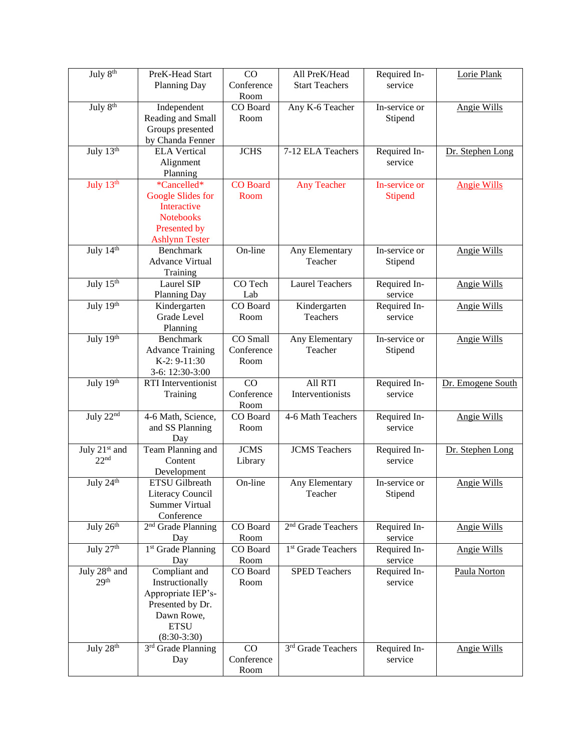| July 8 <sup>th</sup>                          | PreK-Head Start<br><b>Planning Day</b>                                                                                   | CO<br>Conference<br>Room       | All PreK/Head<br><b>Start Teachers</b> | Required In-<br>service         | Lorie Plank        |
|-----------------------------------------------|--------------------------------------------------------------------------------------------------------------------------|--------------------------------|----------------------------------------|---------------------------------|--------------------|
| July 8 <sup>th</sup>                          | Independent<br>Reading and Small<br>Groups presented<br>by Chanda Fenner                                                 | CO Board<br>Room               | Any K-6 Teacher                        | In-service or<br>Stipend        | <b>Angie Wills</b> |
| July 13th                                     | <b>ELA Vertical</b><br>Alignment<br>Planning                                                                             | <b>JCHS</b>                    | 7-12 ELA Teachers                      | Required In-<br>service         | Dr. Stephen Long   |
| July 13th                                     | *Cancelled*<br><b>Google Slides for</b><br>Interactive<br><b>Notebooks</b><br>Presented by<br><b>Ashlynn Tester</b>      | CO Board<br>Room               | <b>Any Teacher</b>                     | In-service or<br><b>Stipend</b> | <b>Angie Wills</b> |
| July 14th                                     | <b>Benchmark</b><br><b>Advance Virtual</b><br>Training                                                                   | On-line                        | Any Elementary<br>Teacher              | In-service or<br>Stipend        | <b>Angie Wills</b> |
| July $15th$                                   | Laurel SIP<br>Planning Day                                                                                               | CO Tech<br>Lab                 | <b>Laurel Teachers</b>                 | Required In-<br>service         | <b>Angie Wills</b> |
| July $19th$                                   | Kindergarten<br>Grade Level<br>Planning                                                                                  | CO Board<br>Room               | Kindergarten<br>Teachers               | Required In-<br>service         | <b>Angie Wills</b> |
| July 19th                                     | <b>Benchmark</b><br><b>Advance Training</b><br>K-2: 9-11:30<br>3-6: 12:30-3:00                                           | CO Small<br>Conference<br>Room | Any Elementary<br>Teacher              | In-service or<br>Stipend        | <b>Angie Wills</b> |
| July 19th                                     | RTI Interventionist<br>Training                                                                                          | CO<br>Conference<br>Room       | All RTI<br>Interventionists            | Required In-<br>service         | Dr. Emogene South  |
| July 22nd                                     | 4-6 Math, Science,<br>and SS Planning<br>Day                                                                             | CO Board<br>Room               | 4-6 Math Teachers                      | Required In-<br>service         | <b>Angie Wills</b> |
| July 21st and<br>22 <sup>nd</sup>             | Team Planning and<br>Content<br>Development                                                                              | <b>JCMS</b><br>Library         | <b>JCMS</b> Teachers                   | Required In-<br>service         | Dr. Stephen Long   |
| July $24^{\text{th}}$                         | <b>ETSU</b> Gilbreath<br>Literacy Council<br><b>Summer Virtual</b><br>Conference                                         | On-line                        | Any Elementary<br>Teacher              | In-service or<br>Stipend        | <b>Angie Wills</b> |
| July $26th$                                   | 2 <sup>nd</sup> Grade Planning<br>Day                                                                                    | CO Board<br>Room               | 2 <sup>nd</sup> Grade Teachers         | Required In-<br>service         | <b>Angie Wills</b> |
| July 27th                                     | 1 <sup>st</sup> Grade Planning<br>Day                                                                                    | CO Board<br>Room               | 1 <sup>st</sup> Grade Teachers         | Required In-<br>service         | <b>Angie Wills</b> |
| July 28 <sup>th</sup> and<br>29 <sup>th</sup> | Compliant and<br>Instructionally<br>Appropriate IEP's-<br>Presented by Dr.<br>Dawn Rowe,<br><b>ETSU</b><br>$(8:30-3:30)$ | CO Board<br>Room               | <b>SPED Teachers</b>                   | Required In-<br>service         | Paula Norton       |
| July 28th                                     | 3rd Grade Planning<br>Day                                                                                                | CO<br>Conference<br>Room       | 3rd Grade Teachers                     | Required In-<br>service         | <b>Angie Wills</b> |